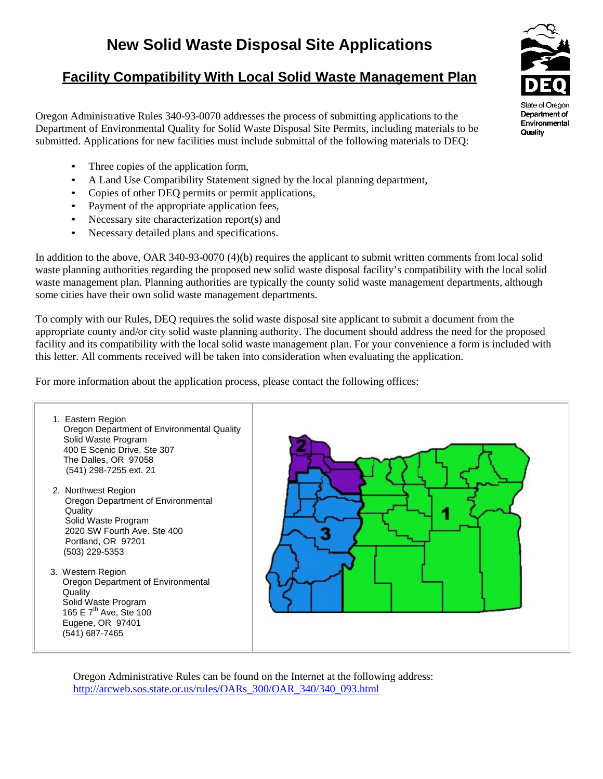## **Facility Compatibility With Local Solid Waste Management Plan**

Oregon Administrative Rules 340-93-0070 addresses the process of submitting applications to the Department of Environmental Quality for Solid Waste Disposal Site Permits, including materials to be submitted. Applications for new facilities must include submittal of the following materials to DEQ:

- Three copies of the application form,
- A Land Use Compatibility Statement signed by the local planning department,
- Copies of other DEQ permits or permit applications,
- Payment of the appropriate application fees,
- Necessary site characterization report(s) and
- Necessary detailed plans and specifications.

In addition to the above, OAR 340-93-0070 (4)(b) requires the applicant to submit written comments from local solid waste planning authorities regarding the proposed new solid waste disposal facility's compatibility with the local solid waste management plan. Planning authorities are typically the county solid waste management departments, although some cities have their own solid waste management departments.

To comply with our Rules, DEQ requires the solid waste disposal site applicant to submit a document from the appropriate county and/or city solid waste planning authority. The document should address the need for the proposed facility and its compatibility with the local solid waste management plan. For your convenience a form is included with this letter. All comments received will be taken into consideration when evaluating the application.

For more information about the application process, please contact the following offices:



Oregon Administrative Rules can be found on the Internet at the following address: http://arcweb.sos.state.or.us/rules/OARs\_300/OAR\_340/340\_093.html